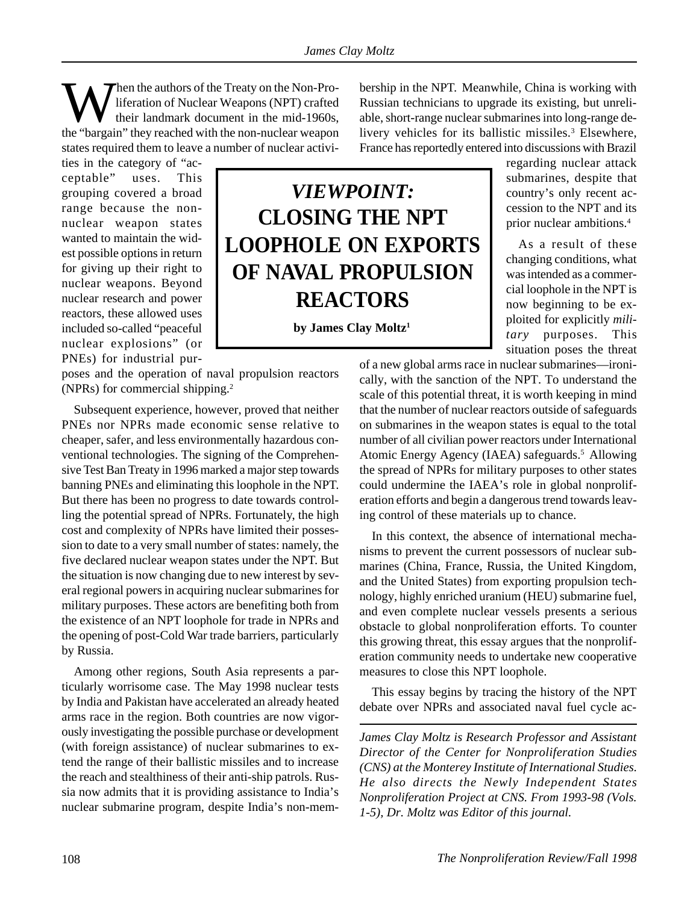Then the authors of the Treaty on the Non-Proliferation of Nuclear Weapons (NPT) crafted their landmark document in the mid-1960s, the "bargain" they reached with the non-nuclear weapon states required them to leave a number of nuclear activi-

ties in the category of "acceptable" uses. This grouping covered a broad range because the nonnuclear weapon states wanted to maintain the widest possible options in return for giving up their right to nuclear weapons. Beyond nuclear research and power reactors, these allowed uses included so-called "peaceful nuclear explosions" (or PNEs) for industrial pur-

poses and the operation of naval propulsion reactors (NPRs) for commercial shipping.2

Subsequent experience, however, proved that neither PNEs nor NPRs made economic sense relative to cheaper, safer, and less environmentally hazardous conventional technologies. The signing of the Comprehensive Test Ban Treaty in 1996 marked a major step towards banning PNEs and eliminating this loophole in the NPT. But there has been no progress to date towards controlling the potential spread of NPRs. Fortunately, the high cost and complexity of NPRs have limited their possession to date to a very small number of states: namely, the five declared nuclear weapon states under the NPT. But the situation is now changing due to new interest by several regional powers in acquiring nuclear submarines for military purposes. These actors are benefiting both from the existence of an NPT loophole for trade in NPRs and the opening of post-Cold War trade barriers, particularly by Russia.

Among other regions, South Asia represents a particularly worrisome case. The May 1998 nuclear tests by India and Pakistan have accelerated an already heated arms race in the region. Both countries are now vigorously investigating the possible purchase or development (with foreign assistance) of nuclear submarines to extend the range of their ballistic missiles and to increase the reach and stealthiness of their anti-ship patrols. Russia now admits that it is providing assistance to India's nuclear submarine program, despite India's non-membership in the NPT. Meanwhile, China is working with Russian technicians to upgrade its existing, but unreliable, short-range nuclear submarines into long-range delivery vehicles for its ballistic missiles.<sup>3</sup> Elsewhere, France has reportedly entered into discussions with Brazil



**by James Clay Moltz1**

regarding nuclear attack submarines, despite that country's only recent accession to the NPT and its prior nuclear ambitions.4

As a result of these changing conditions, what was intended as a commercial loophole in the NPT is now beginning to be exploited for explicitly *military* purposes. This situation poses the threat

of a new global arms race in nuclear submarines—ironically, with the sanction of the NPT. To understand the scale of this potential threat, it is worth keeping in mind that the number of nuclear reactors outside of safeguards on submarines in the weapon states is equal to the total number of all civilian power reactors under International Atomic Energy Agency (IAEA) safeguards.<sup>5</sup> Allowing the spread of NPRs for military purposes to other states could undermine the IAEA's role in global nonproliferation efforts and begin a dangerous trend towards leaving control of these materials up to chance.

In this context, the absence of international mechanisms to prevent the current possessors of nuclear submarines (China, France, Russia, the United Kingdom, and the United States) from exporting propulsion technology, highly enriched uranium (HEU) submarine fuel, and even complete nuclear vessels presents a serious obstacle to global nonproliferation efforts. To counter this growing threat, this essay argues that the nonproliferation community needs to undertake new cooperative measures to close this NPT loophole.

This essay begins by tracing the history of the NPT debate over NPRs and associated naval fuel cycle ac-

*James Clay Moltz is Research Professor and Assistant Director of the Center for Nonproliferation Studies (CNS) at the Monterey Institute of International Studies. He also directs the Newly Independent States Nonproliferation Project at CNS. From 1993-98 (Vols. 1-5), Dr. Moltz was Editor of this journal.*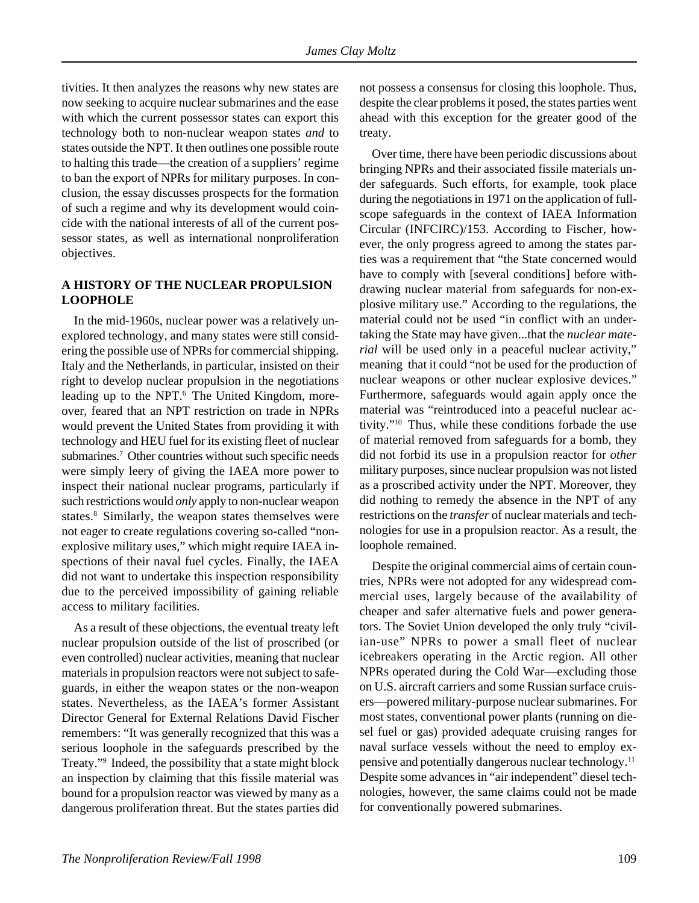tivities. It then analyzes the reasons why new states are now seeking to acquire nuclear submarines and the ease with which the current possessor states can export this technology both to non-nuclear weapon states *and* to states outside the NPT. It then outlines one possible route to halting this trade—the creation of a suppliers' regime to ban the export of NPRs for military purposes. In conclusion, the essay discusses prospects for the formation of such a regime and why its development would coincide with the national interests of all of the current possessor states, as well as international nonproliferation objectives.

## **A HISTORY OF THE NUCLEAR PROPULSION LOOPHOLE**

In the mid-1960s, nuclear power was a relatively unexplored technology, and many states were still considering the possible use of NPRs for commercial shipping. Italy and the Netherlands, in particular, insisted on their right to develop nuclear propulsion in the negotiations leading up to the NPT.<sup>6</sup> The United Kingdom, moreover, feared that an NPT restriction on trade in NPRs would prevent the United States from providing it with technology and HEU fuel for its existing fleet of nuclear submarines.<sup>7</sup> Other countries without such specific needs were simply leery of giving the IAEA more power to inspect their national nuclear programs, particularly if such restrictions would *only* apply to non-nuclear weapon states.<sup>8</sup> Similarly, the weapon states themselves were not eager to create regulations covering so-called "nonexplosive military uses," which might require IAEA inspections of their naval fuel cycles. Finally, the IAEA did not want to undertake this inspection responsibility due to the perceived impossibility of gaining reliable access to military facilities.

As a result of these objections, the eventual treaty left nuclear propulsion outside of the list of proscribed (or even controlled) nuclear activities, meaning that nuclear materials in propulsion reactors were not subject to safeguards, in either the weapon states or the non-weapon states. Nevertheless, as the IAEA's former Assistant Director General for External Relations David Fischer remembers: "It was generally recognized that this was a serious loophole in the safeguards prescribed by the Treaty."9 Indeed, the possibility that a state might block an inspection by claiming that this fissile material was bound for a propulsion reactor was viewed by many as a dangerous proliferation threat. But the states parties did

not possess a consensus for closing this loophole. Thus, despite the clear problems it posed, the states parties went ahead with this exception for the greater good of the treaty.

Over time, there have been periodic discussions about bringing NPRs and their associated fissile materials under safeguards. Such efforts, for example, took place during the negotiations in 1971 on the application of fullscope safeguards in the context of IAEA Information Circular (INFCIRC)/153. According to Fischer, however, the only progress agreed to among the states parties was a requirement that "the State concerned would have to comply with [several conditions] before withdrawing nuclear material from safeguards for non-explosive military use." According to the regulations, the material could not be used "in conflict with an undertaking the State may have given...that the *nuclear material* will be used only in a peaceful nuclear activity," meaning that it could "not be used for the production of nuclear weapons or other nuclear explosive devices." Furthermore, safeguards would again apply once the material was "reintroduced into a peaceful nuclear activity."10 Thus, while these conditions forbade the use of material removed from safeguards for a bomb, they did not forbid its use in a propulsion reactor for *other* military purposes, since nuclear propulsion was not listed as a proscribed activity under the NPT. Moreover, they did nothing to remedy the absence in the NPT of any restrictions on the *transfer* of nuclear materials and technologies for use in a propulsion reactor. As a result, the loophole remained.

Despite the original commercial aims of certain countries, NPRs were not adopted for any widespread commercial uses, largely because of the availability of cheaper and safer alternative fuels and power generators. The Soviet Union developed the only truly "civilian-use" NPRs to power a small fleet of nuclear icebreakers operating in the Arctic region. All other NPRs operated during the Cold War—excluding those on U.S. aircraft carriers and some Russian surface cruisers—powered military-purpose nuclear submarines. For most states, conventional power plants (running on diesel fuel or gas) provided adequate cruising ranges for naval surface vessels without the need to employ expensive and potentially dangerous nuclear technology.11 Despite some advances in "air independent" diesel technologies, however, the same claims could not be made for conventionally powered submarines.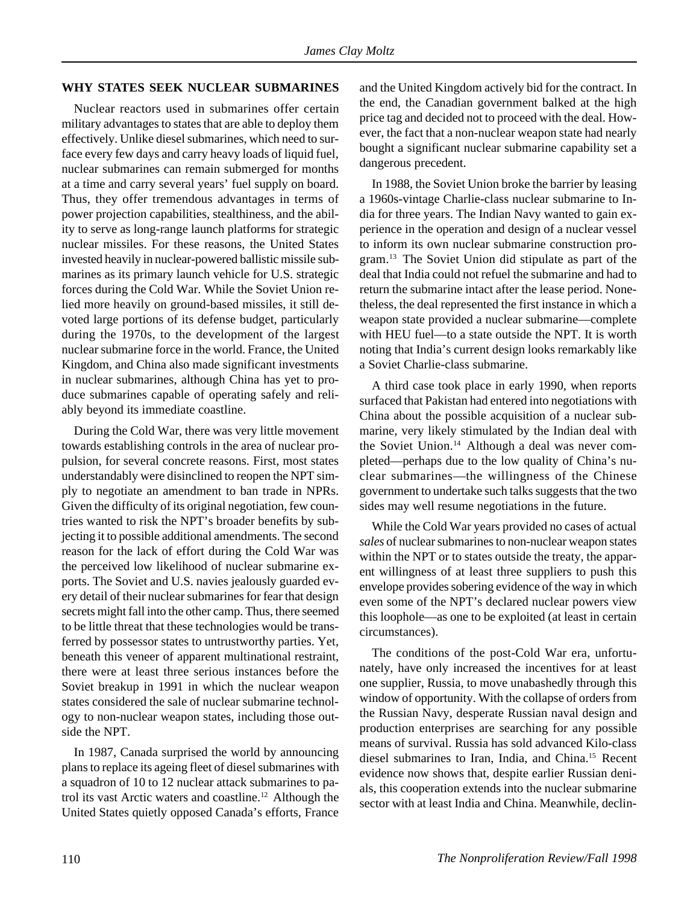# **WHY STATES SEEK NUCLEAR SUBMARINES**

Nuclear reactors used in submarines offer certain military advantages to states that are able to deploy them effectively. Unlike diesel submarines, which need to surface every few days and carry heavy loads of liquid fuel, nuclear submarines can remain submerged for months at a time and carry several years' fuel supply on board. Thus, they offer tremendous advantages in terms of power projection capabilities, stealthiness, and the ability to serve as long-range launch platforms for strategic nuclear missiles. For these reasons, the United States invested heavily in nuclear-powered ballistic missile submarines as its primary launch vehicle for U.S. strategic forces during the Cold War. While the Soviet Union relied more heavily on ground-based missiles, it still devoted large portions of its defense budget, particularly during the 1970s, to the development of the largest nuclear submarine force in the world. France, the United Kingdom, and China also made significant investments in nuclear submarines, although China has yet to produce submarines capable of operating safely and reliably beyond its immediate coastline.

During the Cold War, there was very little movement towards establishing controls in the area of nuclear propulsion, for several concrete reasons. First, most states understandably were disinclined to reopen the NPT simply to negotiate an amendment to ban trade in NPRs. Given the difficulty of its original negotiation, few countries wanted to risk the NPT's broader benefits by subjecting it to possible additional amendments. The second reason for the lack of effort during the Cold War was the perceived low likelihood of nuclear submarine exports. The Soviet and U.S. navies jealously guarded every detail of their nuclear submarines for fear that design secrets might fall into the other camp. Thus, there seemed to be little threat that these technologies would be transferred by possessor states to untrustworthy parties. Yet, beneath this veneer of apparent multinational restraint, there were at least three serious instances before the Soviet breakup in 1991 in which the nuclear weapon states considered the sale of nuclear submarine technology to non-nuclear weapon states, including those outside the NPT.

In 1987, Canada surprised the world by announcing plans to replace its ageing fleet of diesel submarines with a squadron of 10 to 12 nuclear attack submarines to patrol its vast Arctic waters and coastline.<sup>12</sup> Although the United States quietly opposed Canada's efforts, France and the United Kingdom actively bid for the contract. In the end, the Canadian government balked at the high price tag and decided not to proceed with the deal. However, the fact that a non-nuclear weapon state had nearly bought a significant nuclear submarine capability set a dangerous precedent.

In 1988, the Soviet Union broke the barrier by leasing a 1960s-vintage Charlie-class nuclear submarine to India for three years. The Indian Navy wanted to gain experience in the operation and design of a nuclear vessel to inform its own nuclear submarine construction program.13 The Soviet Union did stipulate as part of the deal that India could not refuel the submarine and had to return the submarine intact after the lease period. Nonetheless, the deal represented the first instance in which a weapon state provided a nuclear submarine—complete with HEU fuel—to a state outside the NPT. It is worth noting that India's current design looks remarkably like a Soviet Charlie-class submarine.

A third case took place in early 1990, when reports surfaced that Pakistan had entered into negotiations with China about the possible acquisition of a nuclear submarine, very likely stimulated by the Indian deal with the Soviet Union.<sup>14</sup> Although a deal was never completed—perhaps due to the low quality of China's nuclear submarines—the willingness of the Chinese government to undertake such talks suggests that the two sides may well resume negotiations in the future.

While the Cold War years provided no cases of actual *sales* of nuclear submarines to non-nuclear weapon states within the NPT or to states outside the treaty, the apparent willingness of at least three suppliers to push this envelope provides sobering evidence of the way in which even some of the NPT's declared nuclear powers view this loophole—as one to be exploited (at least in certain circumstances).

The conditions of the post-Cold War era, unfortunately, have only increased the incentives for at least one supplier, Russia, to move unabashedly through this window of opportunity. With the collapse of orders from the Russian Navy, desperate Russian naval design and production enterprises are searching for any possible means of survival. Russia has sold advanced Kilo-class diesel submarines to Iran, India, and China.15 Recent evidence now shows that, despite earlier Russian denials, this cooperation extends into the nuclear submarine sector with at least India and China. Meanwhile, declin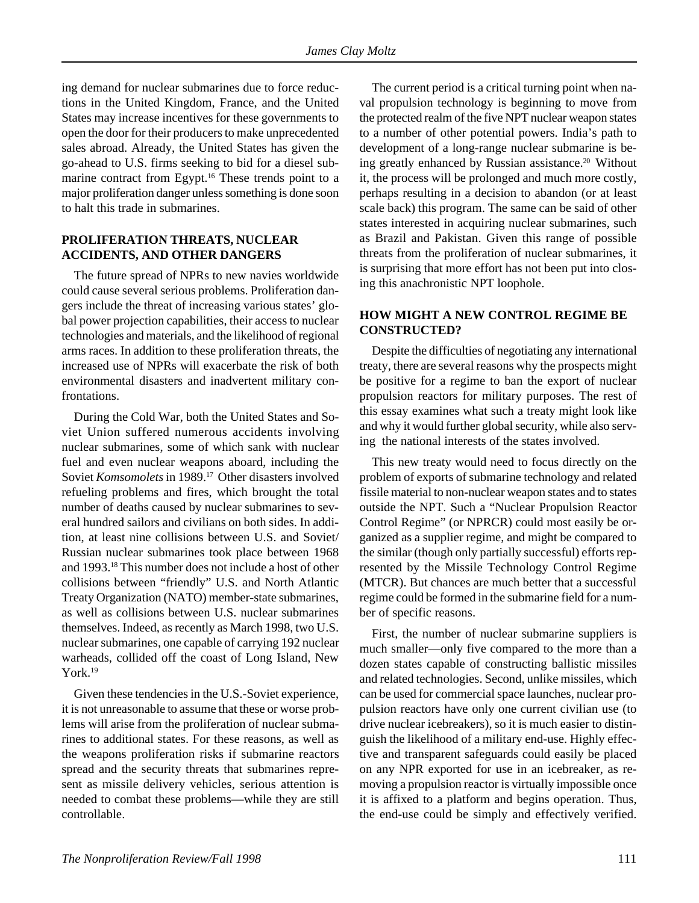ing demand for nuclear submarines due to force reductions in the United Kingdom, France, and the United States may increase incentives for these governments to open the door for their producers to make unprecedented sales abroad. Already, the United States has given the go-ahead to U.S. firms seeking to bid for a diesel submarine contract from Egypt.<sup>16</sup> These trends point to a major proliferation danger unless something is done soon to halt this trade in submarines.

## **PROLIFERATION THREATS, NUCLEAR ACCIDENTS, AND OTHER DANGERS**

The future spread of NPRs to new navies worldwide could cause several serious problems. Proliferation dangers include the threat of increasing various states' global power projection capabilities, their access to nuclear technologies and materials, and the likelihood of regional arms races. In addition to these proliferation threats, the increased use of NPRs will exacerbate the risk of both environmental disasters and inadvertent military confrontations.

During the Cold War, both the United States and Soviet Union suffered numerous accidents involving nuclear submarines, some of which sank with nuclear fuel and even nuclear weapons aboard, including the Soviet *Komsomolets* in 1989.17 Other disasters involved refueling problems and fires, which brought the total number of deaths caused by nuclear submarines to several hundred sailors and civilians on both sides. In addition, at least nine collisions between U.S. and Soviet/ Russian nuclear submarines took place between 1968 and 1993.18 This number does not include a host of other collisions between "friendly" U.S. and North Atlantic Treaty Organization (NATO) member-state submarines, as well as collisions between U.S. nuclear submarines themselves. Indeed, as recently as March 1998, two U.S. nuclear submarines, one capable of carrying 192 nuclear warheads, collided off the coast of Long Island, New York.<sup>19</sup>

Given these tendencies in the U.S.-Soviet experience, it is not unreasonable to assume that these or worse problems will arise from the proliferation of nuclear submarines to additional states. For these reasons, as well as the weapons proliferation risks if submarine reactors spread and the security threats that submarines represent as missile delivery vehicles, serious attention is needed to combat these problems—while they are still controllable.

The current period is a critical turning point when naval propulsion technology is beginning to move from the protected realm of the five NPT nuclear weapon states to a number of other potential powers. India's path to development of a long-range nuclear submarine is being greatly enhanced by Russian assistance.<sup>20</sup> Without it, the process will be prolonged and much more costly, perhaps resulting in a decision to abandon (or at least scale back) this program. The same can be said of other states interested in acquiring nuclear submarines, such as Brazil and Pakistan. Given this range of possible threats from the proliferation of nuclear submarines, it is surprising that more effort has not been put into closing this anachronistic NPT loophole.

# **HOW MIGHT A NEW CONTROL REGIME BE CONSTRUCTED?**

Despite the difficulties of negotiating any international treaty, there are several reasons why the prospects might be positive for a regime to ban the export of nuclear propulsion reactors for military purposes. The rest of this essay examines what such a treaty might look like and why it would further global security, while also serving the national interests of the states involved.

This new treaty would need to focus directly on the problem of exports of submarine technology and related fissile material to non-nuclear weapon states and to states outside the NPT. Such a "Nuclear Propulsion Reactor Control Regime" (or NPRCR) could most easily be organized as a supplier regime, and might be compared to the similar (though only partially successful) efforts represented by the Missile Technology Control Regime (MTCR). But chances are much better that a successful regime could be formed in the submarine field for a number of specific reasons.

First, the number of nuclear submarine suppliers is much smaller—only five compared to the more than a dozen states capable of constructing ballistic missiles and related technologies. Second, unlike missiles, which can be used for commercial space launches, nuclear propulsion reactors have only one current civilian use (to drive nuclear icebreakers), so it is much easier to distinguish the likelihood of a military end-use. Highly effective and transparent safeguards could easily be placed on any NPR exported for use in an icebreaker, as removing a propulsion reactor is virtually impossible once it is affixed to a platform and begins operation. Thus, the end-use could be simply and effectively verified.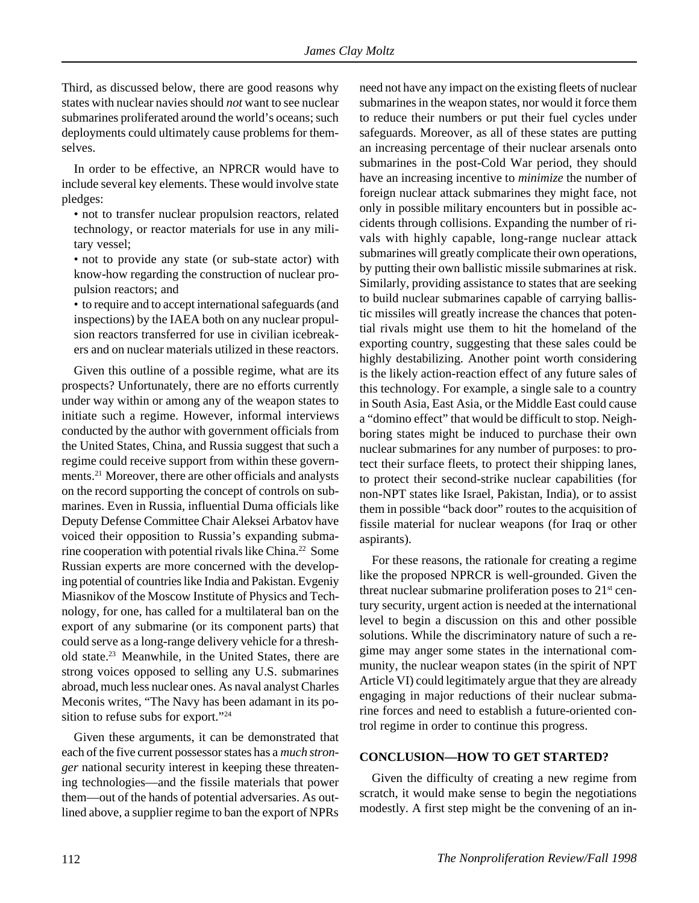Third, as discussed below, there are good reasons why states with nuclear navies should *not* want to see nuclear submarines proliferated around the world's oceans; such deployments could ultimately cause problems for themselves.

In order to be effective, an NPRCR would have to include several key elements. These would involve state pledges:

• not to transfer nuclear propulsion reactors, related technology, or reactor materials for use in any military vessel;

• not to provide any state (or sub-state actor) with know-how regarding the construction of nuclear propulsion reactors; and

• to require and to accept international safeguards (and inspections) by the IAEA both on any nuclear propulsion reactors transferred for use in civilian icebreakers and on nuclear materials utilized in these reactors.

Given this outline of a possible regime, what are its prospects? Unfortunately, there are no efforts currently under way within or among any of the weapon states to initiate such a regime. However, informal interviews conducted by the author with government officials from the United States, China, and Russia suggest that such a regime could receive support from within these governments.21 Moreover, there are other officials and analysts on the record supporting the concept of controls on submarines. Even in Russia, influential Duma officials like Deputy Defense Committee Chair Aleksei Arbatov have voiced their opposition to Russia's expanding submarine cooperation with potential rivals like China.22 Some Russian experts are more concerned with the developing potential of countries like India and Pakistan. Evgeniy Miasnikov of the Moscow Institute of Physics and Technology, for one, has called for a multilateral ban on the export of any submarine (or its component parts) that could serve as a long-range delivery vehicle for a threshold state.23 Meanwhile, in the United States, there are strong voices opposed to selling any U.S. submarines abroad, much less nuclear ones. As naval analyst Charles Meconis writes, "The Navy has been adamant in its position to refuse subs for export."24

Given these arguments, it can be demonstrated that each of the five current possessor states has a *much stronger* national security interest in keeping these threatening technologies—and the fissile materials that power them—out of the hands of potential adversaries. As outlined above, a supplier regime to ban the export of NPRs need not have any impact on the existing fleets of nuclear submarines in the weapon states, nor would it force them to reduce their numbers or put their fuel cycles under safeguards. Moreover, as all of these states are putting an increasing percentage of their nuclear arsenals onto submarines in the post-Cold War period, they should have an increasing incentive to *minimize* the number of foreign nuclear attack submarines they might face, not only in possible military encounters but in possible accidents through collisions. Expanding the number of rivals with highly capable, long-range nuclear attack submarines will greatly complicate their own operations, by putting their own ballistic missile submarines at risk. Similarly, providing assistance to states that are seeking to build nuclear submarines capable of carrying ballistic missiles will greatly increase the chances that potential rivals might use them to hit the homeland of the exporting country, suggesting that these sales could be highly destabilizing. Another point worth considering is the likely action-reaction effect of any future sales of this technology. For example, a single sale to a country in South Asia, East Asia, or the Middle East could cause a "domino effect" that would be difficult to stop. Neighboring states might be induced to purchase their own nuclear submarines for any number of purposes: to protect their surface fleets, to protect their shipping lanes, to protect their second-strike nuclear capabilities (for non-NPT states like Israel, Pakistan, India), or to assist them in possible "back door" routes to the acquisition of fissile material for nuclear weapons (for Iraq or other aspirants).

For these reasons, the rationale for creating a regime like the proposed NPRCR is well-grounded. Given the threat nuclear submarine proliferation poses to  $21<sup>st</sup>$  century security, urgent action is needed at the international level to begin a discussion on this and other possible solutions. While the discriminatory nature of such a regime may anger some states in the international community, the nuclear weapon states (in the spirit of NPT Article VI) could legitimately argue that they are already engaging in major reductions of their nuclear submarine forces and need to establish a future-oriented control regime in order to continue this progress.

#### **CONCLUSION—HOW TO GET STARTED?**

Given the difficulty of creating a new regime from scratch, it would make sense to begin the negotiations modestly. A first step might be the convening of an in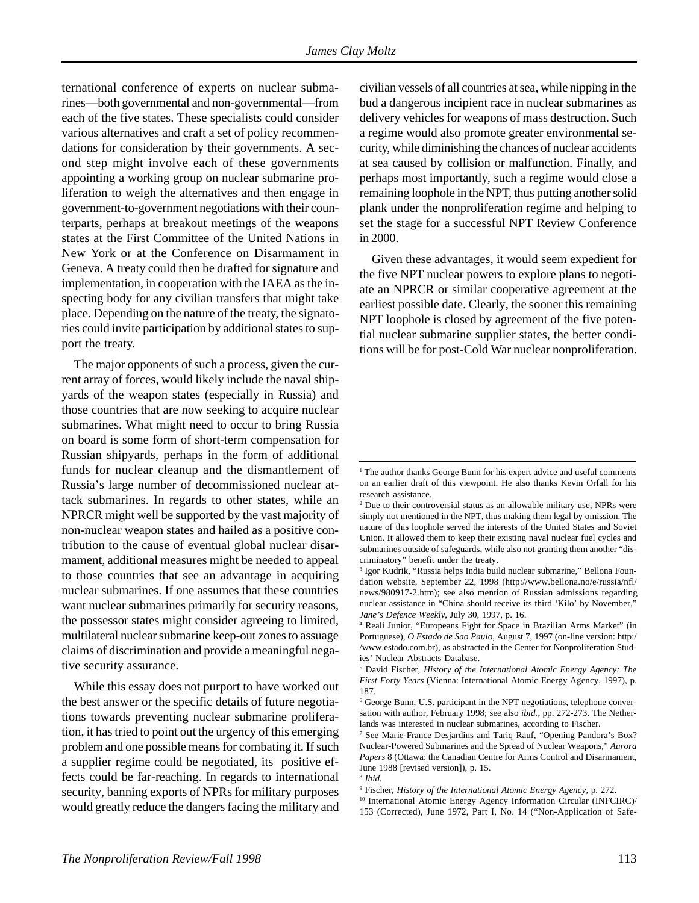ternational conference of experts on nuclear submarines—both governmental and non-governmental—from each of the five states. These specialists could consider various alternatives and craft a set of policy recommendations for consideration by their governments. A second step might involve each of these governments appointing a working group on nuclear submarine proliferation to weigh the alternatives and then engage in government-to-government negotiations with their counterparts, perhaps at breakout meetings of the weapons states at the First Committee of the United Nations in New York or at the Conference on Disarmament in Geneva. A treaty could then be drafted for signature and implementation, in cooperation with the IAEA as the inspecting body for any civilian transfers that might take place. Depending on the nature of the treaty, the signatories could invite participation by additional states to support the treaty.

The major opponents of such a process, given the current array of forces, would likely include the naval shipyards of the weapon states (especially in Russia) and those countries that are now seeking to acquire nuclear submarines. What might need to occur to bring Russia on board is some form of short-term compensation for Russian shipyards, perhaps in the form of additional funds for nuclear cleanup and the dismantlement of Russia's large number of decommissioned nuclear attack submarines. In regards to other states, while an NPRCR might well be supported by the vast majority of non-nuclear weapon states and hailed as a positive contribution to the cause of eventual global nuclear disarmament, additional measures might be needed to appeal to those countries that see an advantage in acquiring nuclear submarines. If one assumes that these countries want nuclear submarines primarily for security reasons, the possessor states might consider agreeing to limited, multilateral nuclear submarine keep-out zones to assuage claims of discrimination and provide a meaningful negative security assurance.

While this essay does not purport to have worked out the best answer or the specific details of future negotiations towards preventing nuclear submarine proliferation, it has tried to point out the urgency of this emerging problem and one possible means for combating it. If such a supplier regime could be negotiated, its positive effects could be far-reaching. In regards to international security, banning exports of NPRs for military purposes would greatly reduce the dangers facing the military and civilian vessels of all countries at sea, while nipping in the bud a dangerous incipient race in nuclear submarines as delivery vehicles for weapons of mass destruction. Such a regime would also promote greater environmental security, while diminishing the chances of nuclear accidents at sea caused by collision or malfunction. Finally, and perhaps most importantly, such a regime would close a remaining loophole in the NPT, thus putting another solid plank under the nonproliferation regime and helping to set the stage for a successful NPT Review Conference in 2000.

Given these advantages, it would seem expedient for the five NPT nuclear powers to explore plans to negotiate an NPRCR or similar cooperative agreement at the earliest possible date. Clearly, the sooner this remaining NPT loophole is closed by agreement of the five potential nuclear submarine supplier states, the better conditions will be for post-Cold War nuclear nonproliferation.

<sup>&</sup>lt;sup>1</sup> The author thanks George Bunn for his expert advice and useful comments on an earlier draft of this viewpoint. He also thanks Kevin Orfall for his research assistance.

<sup>&</sup>lt;sup>2</sup> Due to their controversial status as an allowable military use, NPRs were simply not mentioned in the NPT, thus making them legal by omission. The nature of this loophole served the interests of the United States and Soviet Union. It allowed them to keep their existing naval nuclear fuel cycles and submarines outside of safeguards, while also not granting them another "discriminatory" benefit under the treaty.

<sup>3</sup> Igor Kudrik, "Russia helps India build nuclear submarine," Bellona Foundation website, September 22, 1998 (http://www.bellona.no/e/russia/nfl/ news/980917-2.htm); see also mention of Russian admissions regarding nuclear assistance in "China should receive its third 'Kilo' by November," *Jane's Defence Weekly*, July 30, 1997, p. 16.

<sup>4</sup> Reali Junior, "Europeans Fight for Space in Brazilian Arms Market" (in Portuguese), *O Estado de Sao Paulo*, August 7, 1997 (on-line version: http:/ /www.estado.com.br), as abstracted in the Center for Nonproliferation Studies' Nuclear Abstracts Database.

<sup>5</sup> David Fischer, *History of the International Atomic Energy Agency: The First Forty Years* (Vienna: International Atomic Energy Agency, 1997), p. 187.

<sup>6</sup> George Bunn, U.S. participant in the NPT negotiations, telephone conversation with author, February 1998; see also *ibid.*, pp. 272-273. The Netherlands was interested in nuclear submarines, according to Fischer.

<sup>7</sup> See Marie-France Desjardins and Tariq Rauf, "Opening Pandora's Box? Nuclear-Powered Submarines and the Spread of Nuclear Weapons," *Aurora Papers* 8 (Ottawa: the Canadian Centre for Arms Control and Disarmament, June 1988 [revised version]), p. 15.

<sup>8</sup> *Ibid.*

<sup>9</sup> Fischer, *History of the International Atomic Energy Agency*, p. 272.

<sup>10</sup> International Atomic Energy Agency Information Circular (INFCIRC)/ 153 (Corrected), June 1972, Part I, No. 14 ("Non-Application of Safe-